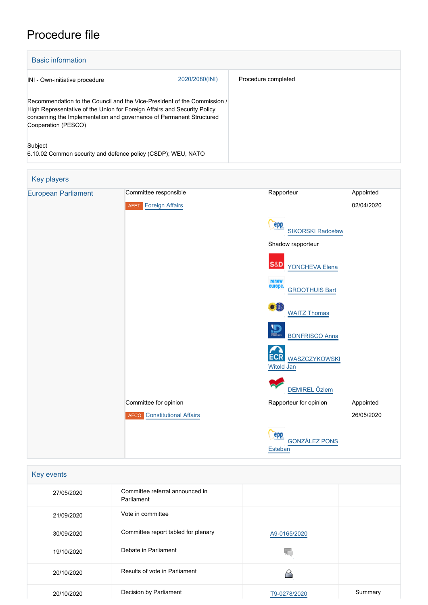# Procedure file

| <b>Basic information</b>                                                                                                                                                                                                                            |                |                     |  |
|-----------------------------------------------------------------------------------------------------------------------------------------------------------------------------------------------------------------------------------------------------|----------------|---------------------|--|
| INI - Own-initiative procedure                                                                                                                                                                                                                      | 2020/2080(INI) | Procedure completed |  |
| Recommendation to the Council and the Vice-President of the Commission /<br>High Representative of the Union for Foreign Affairs and Security Policy<br>concerning the Implementation and governance of Permanent Structured<br>Cooperation (PESCO) |                |                     |  |
| Subject<br>6.10.02 Common security and defence policy (CSDP); WEU, NATO                                                                                                                                                                             |                |                     |  |



| Key events |                                               |              |         |  |  |  |
|------------|-----------------------------------------------|--------------|---------|--|--|--|
| 27/05/2020 | Committee referral announced in<br>Parliament |              |         |  |  |  |
| 21/09/2020 | Vote in committee                             |              |         |  |  |  |
| 30/09/2020 | Committee report tabled for plenary           | A9-0165/2020 |         |  |  |  |
| 19/10/2020 | Debate in Parliament                          |              |         |  |  |  |
| 20/10/2020 | Results of vote in Parliament                 |              |         |  |  |  |
| 20/10/2020 | Decision by Parliament                        | T9-0278/2020 | Summary |  |  |  |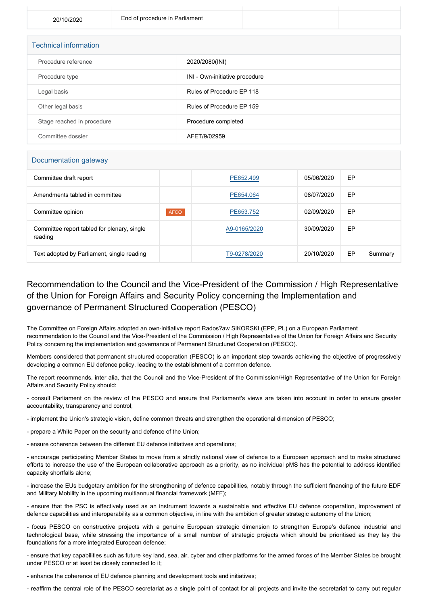| <b>Technical information</b> |                                |  |  |  |  |  |
|------------------------------|--------------------------------|--|--|--|--|--|
| Procedure reference          | 2020/2080(INI)                 |  |  |  |  |  |
| Procedure type               | INI - Own-initiative procedure |  |  |  |  |  |
| Legal basis                  | Rules of Procedure EP 118      |  |  |  |  |  |
| Other legal basis            | Rules of Procedure EP 159      |  |  |  |  |  |
| Stage reached in procedure   | Procedure completed            |  |  |  |  |  |
| Committee dossier            | AFET/9/02959                   |  |  |  |  |  |

### Documentation gateway

| Committee draft report                                 |             | PE652.499    | 05/06/2020 | EP |         |
|--------------------------------------------------------|-------------|--------------|------------|----|---------|
| Amendments tabled in committee                         |             | PE654.064    | 08/07/2020 | EP |         |
| Committee opinion                                      | <b>AFCO</b> | PE653.752    | 02/09/2020 | EP |         |
| Committee report tabled for plenary, single<br>reading |             | A9-0165/2020 | 30/09/2020 | EP |         |
| Text adopted by Parliament, single reading             |             | T9-0278/2020 | 20/10/2020 | EP | Summary |

### Recommendation to the Council and the Vice-President of the Commission / High Representative of the Union for Foreign Affairs and Security Policy concerning the Implementation and governance of Permanent Structured Cooperation (PESCO)

The Committee on Foreign Affairs adopted an own-initiative report Rados?aw SIKORSKI (EPP, PL) on a European Parliament recommendation to the Council and the Vice-President of the Commission / High Representative of the Union for Foreign Affairs and Security Policy concerning the implementation and governance of Permanent Structured Cooperation (PESCO).

Members considered that permanent structured cooperation (PESCO) is an important step towards achieving the objective of progressively developing a common EU defence policy, leading to the establishment of a common defence.

The report recommends, inter alia, that the Council and the Vice-President of the Commission/High Representative of the Union for Foreign Affairs and Security Policy should:

- consult Parliament on the review of the PESCO and ensure that Parliament's views are taken into account in order to ensure greater accountability, transparency and control;

- implement the Union's strategic vision, define common threats and strengthen the operational dimension of PESCO;

- prepare a White Paper on the security and defence of the Union;

- ensure coherence between the different EU defence initiatives and operations;

- encourage participating Member States to move from a strictly national view of defence to a European approach and to make structured efforts to increase the use of the European collaborative approach as a priority, as no individual pMS has the potential to address identified capacity shortfalls alone;

- increase the EUs budgetary ambition for the strengthening of defence capabilities, notably through the sufficient financing of the future EDF and Military Mobility in the upcoming multiannual financial framework (MFF);

- ensure that the PSC is effectively used as an instrument towards a sustainable and effective EU defence cooperation, improvement of defence capabilities and interoperability as a common objective, in line with the ambition of greater strategic autonomy of the Union;

- focus PESCO on constructive projects with a genuine European strategic dimension to strengthen Europe's defence industrial and technological base, while stressing the importance of a small number of strategic projects which should be prioritised as they lay the foundations for a more integrated European defence;

- ensure that key capabilities such as future key land, sea, air, cyber and other platforms for the armed forces of the Member States be brought under PESCO or at least be closely connected to it;

- enhance the coherence of EU defence planning and development tools and initiatives;

- reaffirm the central role of the PESCO secretariat as a single point of contact for all projects and invite the secretariat to carry out regular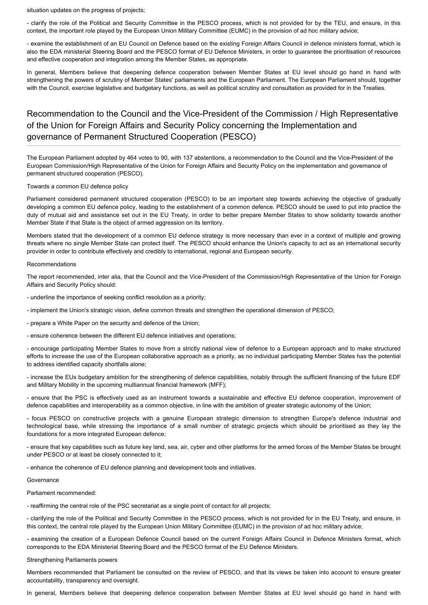situation updates on the progress of projects;

- clarify the role of the Political and Security Committee in the PESCO process, which is not provided for by the TEU, and ensure, in this context, the important role played by the European Union Military Committee (EUMC) in the provision of ad hoc military advice;

- examine the establishment of an EU Council on Defence based on the existing Foreign Affairs Council in defence ministers format, which is also the EDA ministerial Steering Board and the PESCO format of EU Defence Ministers, in order to guarantee the prioritisation of resources and effective cooperation and integration among the Member States, as appropriate.

In general, Members believe that deepening defence cooperation between Member States at EU level should go hand in hand with strengthening the powers of scrutiny of Member States' parliaments and the European Parliament. The European Parliament should, together with the Council, exercise legislative and budgetary functions, as well as political scrutiny and consultation as provided for in the Treaties.

## Recommendation to the Council and the Vice-President of the Commission / High Representative of the Union for Foreign Affairs and Security Policy concerning the Implementation and governance of Permanent Structured Cooperation (PESCO)

The European Parliament adopted by 464 votes to 90, with 137 abstentions, a recommendation to the Council and the Vice-President of the European Commission/High Representative of the Union for Foreign Affairs and Security Policy on the implementation and governance of permanent structured cooperation (PESCO).

#### Towards a common EU defence policy

Parliament considered permanent structured cooperation (PESCO) to be an important step towards achieving the objective of gradually developing a common EU defence policy, leading to the establishment of a common defence. PESCO should be used to put into practice the duty of mutual aid and assistance set out in the EU Treaty, in order to better prepare Member States to show solidarity towards another Member State if that State is the object of armed aggression on its territory.

Members stated that the development of a common EU defence strategy is more necessary than ever in a context of multiple and growing threats where no single Member State can protect itself. The PESCO should enhance the Union's capacity to act as an international security provider in order to contribute effectively and credibly to international, regional and European security.

#### Recommendations

The report recommended, inter alia, that the Council and the Vice-President of the Commission/High Representative of the Union for Foreign Affairs and Security Policy should:

- underline the importance of seeking conflict resolution as a priority;
- implement the Union's strategic vision, define common threats and strengthen the operational dimension of PESCO;
- prepare a White Paper on the security and defence of the Union;
- ensure coherence between the different EU defence initiatives and operations;

- encourage participating Member States to move from a strictly national view of defence to a European approach and to make structured efforts to increase the use of the European collaborative approach as a priority, as no individual participating Member States has the potential to address identified capacity shortfalls alone;

- increase the EUs budgetary ambition for the strengthening of defence capabilities, notably through the sufficient financing of the future EDF and Military Mobility in the upcoming multiannual financial framework (MFF);

- ensure that the PSC is effectively used as an instrument towards a sustainable and effective EU defence cooperation, improvement of defence capabilities and interoperability as a common objective, in line with the ambition of greater strategic autonomy of the Union;

- focus PESCO on constructive projects with a genuine European strategic dimension to strengthen Europe's defence industrial and technological base, while stressing the importance of a small number of strategic projects which should be prioritised as they lay the foundations for a more integrated European defence;

- ensure that key capabilities such as future key land, sea, air, cyber and other platforms for the armed forces of the Member States be brought under PESCO or at least be closely connected to it;

- enhance the coherence of EU defence planning and development tools and initiatives.

Governance

Parliament recommended:

- reaffirming the central role of the PSC secretariat as a single point of contact for all projects;

- clarifying the role of the Political and Security Committee in the PESCO process, which is not provided for in the EU Treaty, and ensure, in this context, the central role played by the European Union Military Committee (EUMC) in the provision of ad hoc military advice;

- examining the creation of a European Defence Council based on the current Foreign Affairs Council in Defence Ministers format, which corresponds to the EDA Ministerial Steering Board and the PESCO format of the EU Defence Ministers.

### Strengthening Parliaments powers

Members recommended that Parliament be consulted on the review of PESCO, and that its views be taken into account to ensure greater accountability, transparency and oversight.

In general, Members believe that deepening defence cooperation between Member States at EU level should go hand in hand with